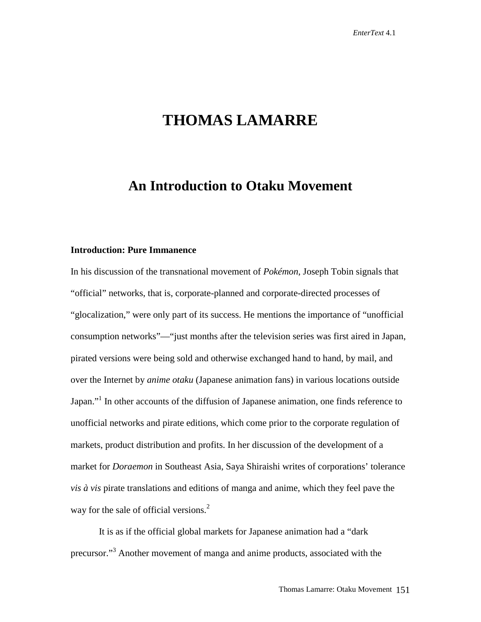# **THOMAS LAMARRE**

## **An Introduction to Otaku Movement**

#### **Introduction: Pure Immanence**

In his discussion of the transnational movement of *Pokémon*, Joseph Tobin signals that "official" networks, that is, corporate-planned and corporate-directed processes of "glocalization," were only part of its success. He mentions the importance of "unofficial consumption networks"—"just months after the television series was first aired in Japan, pirated versions were being sold and otherwise exchanged hand to hand, by mail, and over the Internet by *anime otaku* (Japanese animation fans) in various locations outside Japan."<sup>1</sup> In other accounts of the diffusion of Japanese animation, one finds reference to unofficial networks and pirate editions, which come prior to the corporate regulation of markets, product distribution and profits. In her discussion of the development of a market for *Doraemon* in Southeast Asia, Saya Shiraishi writes of corporations' tolerance *vis à vis* pirate translations and editions of manga and anime, which they feel pave the way for the sale of official versions. $<sup>2</sup>$ </sup>

It is as if the official global markets for Japanese animation had a "dark precursor."<sup>3</sup> Another movement of manga and anime products, associated with the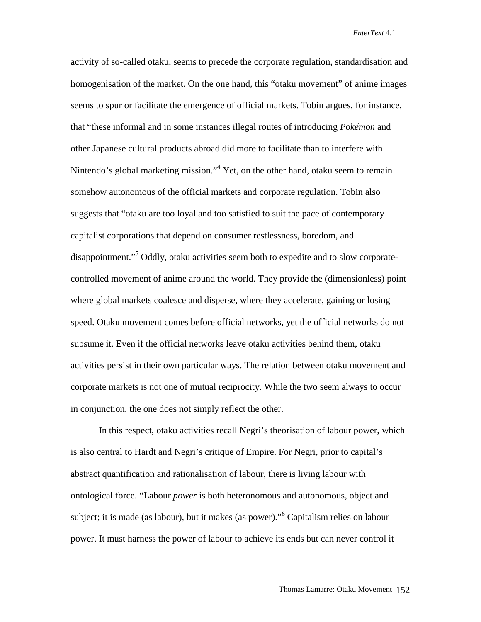activity of so-called otaku, seems to precede the corporate regulation, standardisation and homogenisation of the market. On the one hand, this "otaku movement" of anime images seems to spur or facilitate the emergence of official markets. Tobin argues, for instance, that "these informal and in some instances illegal routes of introducing *Pokémon* and other Japanese cultural products abroad did more to facilitate than to interfere with Nintendo's global marketing mission."<sup>4</sup> Yet, on the other hand, otaku seem to remain somehow autonomous of the official markets and corporate regulation. Tobin also suggests that "otaku are too loyal and too satisfied to suit the pace of contemporary capitalist corporations that depend on consumer restlessness, boredom, and disappointment."<sup>5</sup> Oddly, otaku activities seem both to expedite and to slow corporatecontrolled movement of anime around the world. They provide the (dimensionless) point where global markets coalesce and disperse, where they accelerate, gaining or losing speed. Otaku movement comes before official networks, yet the official networks do not subsume it. Even if the official networks leave otaku activities behind them, otaku activities persist in their own particular ways. The relation between otaku movement and corporate markets is not one of mutual reciprocity. While the two seem always to occur in conjunction, the one does not simply reflect the other.

In this respect, otaku activities recall Negri's theorisation of labour power, which is also central to Hardt and Negri's critique of Empire. For Negri, prior to capital's abstract quantification and rationalisation of labour, there is living labour with ontological force. "Labour *power* is both heteronomous and autonomous, object and subject; it is made (as labour), but it makes (as power)."<sup>6</sup> Capitalism relies on labour power. It must harness the power of labour to achieve its ends but can never control it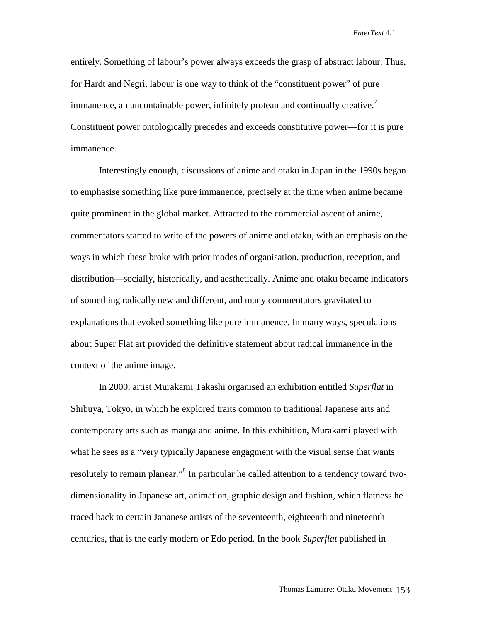entirely. Something of labour's power always exceeds the grasp of abstract labour. Thus, for Hardt and Negri, labour is one way to think of the "constituent power" of pure immanence, an uncontainable power, infinitely protean and continually creative.<sup>7</sup> Constituent power ontologically precedes and exceeds constitutive power—for it is pure immanence.

Interestingly enough, discussions of anime and otaku in Japan in the 1990s began to emphasise something like pure immanence, precisely at the time when anime became quite prominent in the global market. Attracted to the commercial ascent of anime, commentators started to write of the powers of anime and otaku, with an emphasis on the ways in which these broke with prior modes of organisation, production, reception, and distribution—socially, historically, and aesthetically. Anime and otaku became indicators of something radically new and different, and many commentators gravitated to explanations that evoked something like pure immanence. In many ways, speculations about Super Flat art provided the definitive statement about radical immanence in the context of the anime image.

In 2000, artist Murakami Takashi organised an exhibition entitled *Superflat* in Shibuya, Tokyo, in which he explored traits common to traditional Japanese arts and contemporary arts such as manga and anime. In this exhibition, Murakami played with what he sees as a "very typically Japanese engagment with the visual sense that wants resolutely to remain planear."<sup>8</sup> In particular he called attention to a tendency toward twodimensionality in Japanese art, animation, graphic design and fashion, which flatness he traced back to certain Japanese artists of the seventeenth, eighteenth and nineteenth centuries, that is the early modern or Edo period. In the book *Superflat* published in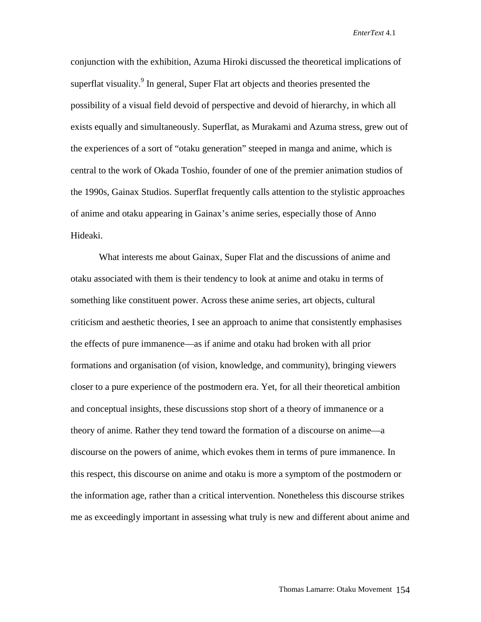conjunction with the exhibition, Azuma Hiroki discussed the theoretical implications of superflat visuality.<sup>9</sup> In general, Super Flat art objects and theories presented the possibility of a visual field devoid of perspective and devoid of hierarchy, in which all exists equally and simultaneously. Superflat, as Murakami and Azuma stress, grew out of the experiences of a sort of "otaku generation" steeped in manga and anime, which is central to the work of Okada Toshio, founder of one of the premier animation studios of the 1990s, Gainax Studios. Superflat frequently calls attention to the stylistic approaches of anime and otaku appearing in Gainax's anime series, especially those of Anno Hideaki.

What interests me about Gainax, Super Flat and the discussions of anime and otaku associated with them is their tendency to look at anime and otaku in terms of something like constituent power. Across these anime series, art objects, cultural criticism and aesthetic theories, I see an approach to anime that consistently emphasises the effects of pure immanence—as if anime and otaku had broken with all prior formations and organisation (of vision, knowledge, and community), bringing viewers closer to a pure experience of the postmodern era. Yet, for all their theoretical ambition and conceptual insights, these discussions stop short of a theory of immanence or a theory of anime. Rather they tend toward the formation of a discourse on anime—a discourse on the powers of anime, which evokes them in terms of pure immanence. In this respect, this discourse on anime and otaku is more a symptom of the postmodern or the information age, rather than a critical intervention. Nonetheless this discourse strikes me as exceedingly important in assessing what truly is new and different about anime and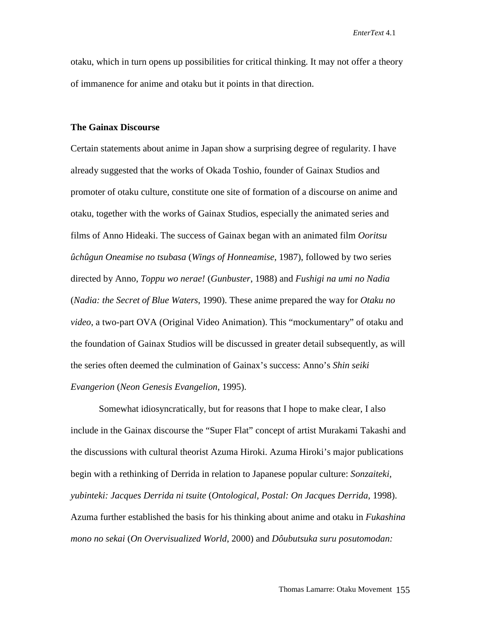otaku, which in turn opens up possibilities for critical thinking. It may not offer a theory of immanence for anime and otaku but it points in that direction.

#### **The Gainax Discourse**

Certain statements about anime in Japan show a surprising degree of regularity. I have already suggested that the works of Okada Toshio, founder of Gainax Studios and promoter of otaku culture, constitute one site of formation of a discourse on anime and otaku, together with the works of Gainax Studios, especially the animated series and films of Anno Hideaki. The success of Gainax began with an animated film *Ooritsu ûchûgun Oneamise no tsubasa* (*Wings of Honneamise*, 1987), followed by two series directed by Anno, *Toppu wo nerae!* (*Gunbuster*, 1988) and *Fushigi na umi no Nadia* (*Nadia: the Secret of Blue Waters*, 1990). These anime prepared the way for *Otaku no video*, a two-part OVA (Original Video Animation). This "mockumentary" of otaku and the foundation of Gainax Studios will be discussed in greater detail subsequently, as will the series often deemed the culmination of Gainax's success: Anno's *Shin seiki Evangerion* (*Neon Genesis Evangelion*, 1995).

Somewhat idiosyncratically, but for reasons that I hope to make clear, I also include in the Gainax discourse the "Super Flat" concept of artist Murakami Takashi and the discussions with cultural theorist Azuma Hiroki. Azuma Hiroki's major publications begin with a rethinking of Derrida in relation to Japanese popular culture: *Sonzaiteki, yubinteki: Jacques Derrida ni tsuite* (*Ontological, Postal: On Jacques Derrida*, 1998). Azuma further established the basis for his thinking about anime and otaku in *Fukashina mono no sekai* (*On Overvisualized World*, 2000) and *Dôubutsuka suru posutomodan:*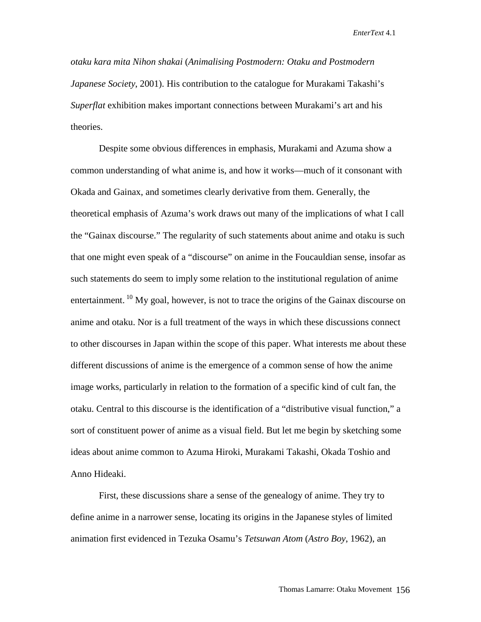*otaku kara mita Nihon shakai* (*Animalising Postmodern: Otaku and Postmodern Japanese Society*, 2001). His contribution to the catalogue for Murakami Takashi's *Superflat* exhibition makes important connections between Murakami's art and his theories.

Despite some obvious differences in emphasis, Murakami and Azuma show a common understanding of what anime is, and how it works—much of it consonant with Okada and Gainax, and sometimes clearly derivative from them. Generally, the theoretical emphasis of Azuma's work draws out many of the implications of what I call the "Gainax discourse." The regularity of such statements about anime and otaku is such that one might even speak of a "discourse" on anime in the Foucauldian sense, insofar as such statements do seem to imply some relation to the institutional regulation of anime entertainment. <sup>10</sup> My goal, however, is not to trace the origins of the Gainax discourse on anime and otaku. Nor is a full treatment of the ways in which these discussions connect to other discourses in Japan within the scope of this paper. What interests me about these different discussions of anime is the emergence of a common sense of how the anime image works, particularly in relation to the formation of a specific kind of cult fan, the otaku. Central to this discourse is the identification of a "distributive visual function," a sort of constituent power of anime as a visual field. But let me begin by sketching some ideas about anime common to Azuma Hiroki, Murakami Takashi, Okada Toshio and Anno Hideaki.

First, these discussions share a sense of the genealogy of anime. They try to define anime in a narrower sense, locating its origins in the Japanese styles of limited animation first evidenced in Tezuka Osamu's *Tetsuwan Atom* (*Astro Boy*, 1962), an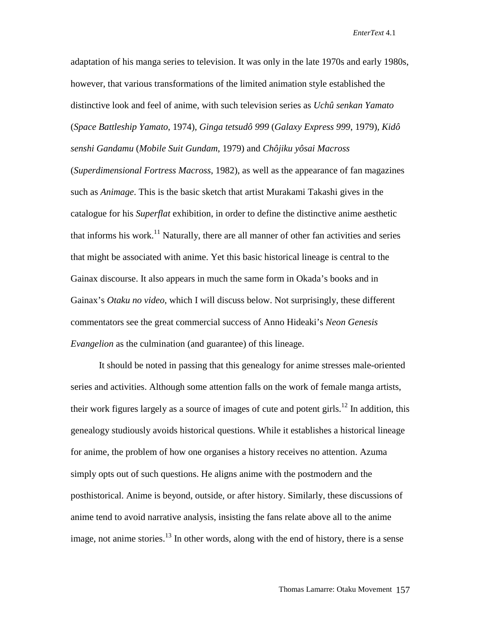adaptation of his manga series to television. It was only in the late 1970s and early 1980s, however, that various transformations of the limited animation style established the distinctive look and feel of anime, with such television series as *Uchû senkan Yamato* (*Space Battleship Yamato*, 1974), *Ginga tetsudô 999* (*Galaxy Express 999*, 1979)*, Kidô senshi Gandamu* (*Mobile Suit Gundam*, 1979) and *Chôjiku yôsai Macross* (*Superdimensional Fortress Macross*, 1982), as well as the appearance of fan magazines such as *Animage*. This is the basic sketch that artist Murakami Takashi gives in the catalogue for his *Superflat* exhibition, in order to define the distinctive anime aesthetic that informs his work.<sup>11</sup> Naturally, there are all manner of other fan activities and series that might be associated with anime. Yet this basic historical lineage is central to the Gainax discourse. It also appears in much the same form in Okada's books and in Gainax's *Otaku no video*, which I will discuss below. Not surprisingly, these different commentators see the great commercial success of Anno Hideaki's *Neon Genesis Evangelion* as the culmination (and guarantee) of this lineage.

It should be noted in passing that this genealogy for anime stresses male-oriented series and activities. Although some attention falls on the work of female manga artists, their work figures largely as a source of images of cute and potent girls.<sup>12</sup> In addition, this genealogy studiously avoids historical questions. While it establishes a historical lineage for anime, the problem of how one organises a history receives no attention. Azuma simply opts out of such questions. He aligns anime with the postmodern and the posthistorical. Anime is beyond, outside, or after history. Similarly, these discussions of anime tend to avoid narrative analysis, insisting the fans relate above all to the anime image, not anime stories.<sup>13</sup> In other words, along with the end of history, there is a sense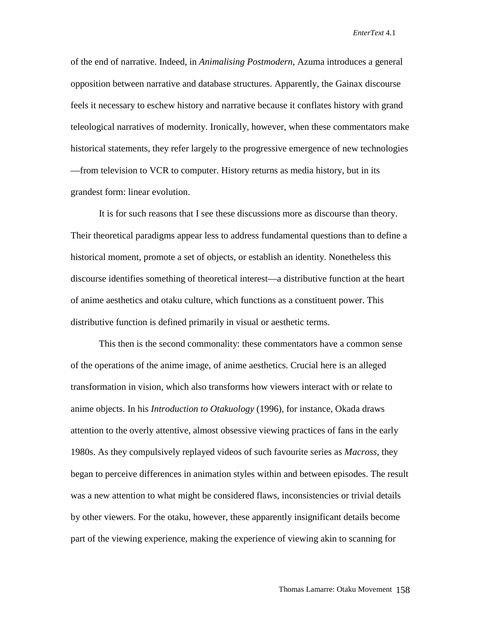of the end of narrative. Indeed, in *Animalising Postmodern*, Azuma introduces a general opposition between narrative and database structures. Apparently, the Gainax discourse feels it necessary to eschew history and narrative because it conflates history with grand teleological narratives of modernity. Ironically, however, when these commentators make historical statements, they refer largely to the progressive emergence of new technologies —from television to VCR to computer. History returns as media history, but in its grandest form: linear evolution.

It is for such reasons that I see these discussions more as discourse than theory. Their theoretical paradigms appear less to address fundamental questions than to define a historical moment, promote a set of objects, or establish an identity. Nonetheless this discourse identifies something of theoretical interest—a distributive function at the heart of anime aesthetics and otaku culture, which functions as a constituent power. This distributive function is defined primarily in visual or aesthetic terms.

This then is the second commonality: these commentators have a common sense of the operations of the anime image, of anime aesthetics. Crucial here is an alleged transformation in vision, which also transforms how viewers interact with or relate to anime objects. In his *Introduction to Otakuology* (1996), for instance, Okada draws attention to the overly attentive, almost obsessive viewing practices of fans in the early 1980s. As they compulsively replayed videos of such favourite series as *Macross*, they began to perceive differences in animation styles within and between episodes. The result was a new attention to what might be considered flaws, inconsistencies or trivial details by other viewers. For the otaku, however, these apparently insignificant details become part of the viewing experience, making the experience of viewing akin to scanning for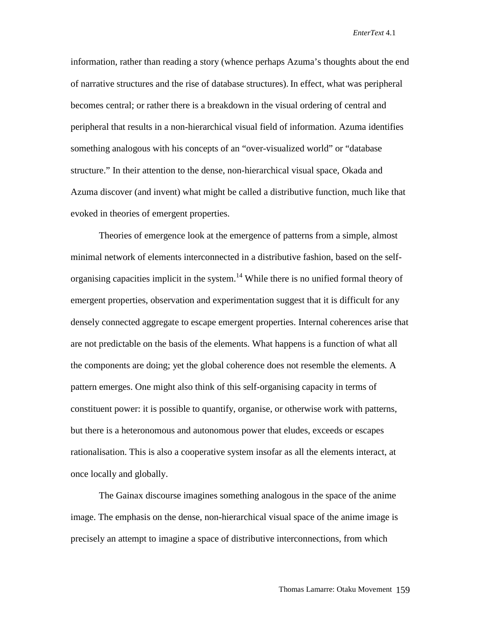information, rather than reading a story (whence perhaps Azuma's thoughts about the end of narrative structures and the rise of database structures). In effect, what was peripheral becomes central; or rather there is a breakdown in the visual ordering of central and peripheral that results in a non-hierarchical visual field of information. Azuma identifies something analogous with his concepts of an "over-visualized world" or "database structure." In their attention to the dense, non-hierarchical visual space, Okada and Azuma discover (and invent) what might be called a distributive function, much like that evoked in theories of emergent properties.

Theories of emergence look at the emergence of patterns from a simple, almost minimal network of elements interconnected in a distributive fashion, based on the selforganising capacities implicit in the system.<sup>14</sup> While there is no unified formal theory of emergent properties, observation and experimentation suggest that it is difficult for any densely connected aggregate to escape emergent properties. Internal coherences arise that are not predictable on the basis of the elements. What happens is a function of what all the components are doing; yet the global coherence does not resemble the elements. A pattern emerges. One might also think of this self-organising capacity in terms of constituent power: it is possible to quantify, organise, or otherwise work with patterns, but there is a heteronomous and autonomous power that eludes, exceeds or escapes rationalisation. This is also a cooperative system insofar as all the elements interact, at once locally and globally.

The Gainax discourse imagines something analogous in the space of the anime image. The emphasis on the dense, non-hierarchical visual space of the anime image is precisely an attempt to imagine a space of distributive interconnections, from which

Thomas Lamarre: Otaku Movement 159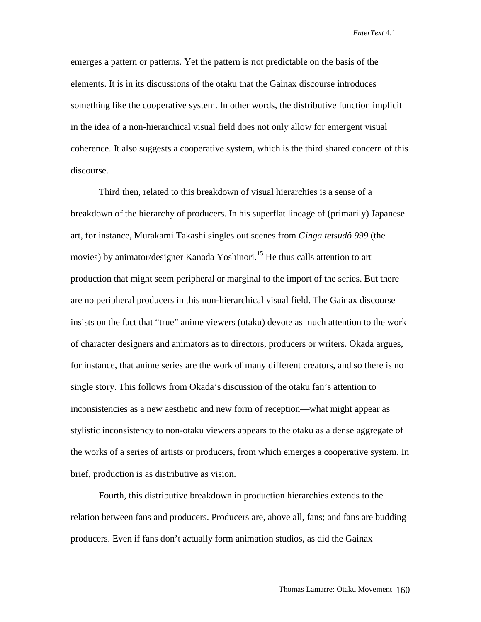emerges a pattern or patterns. Yet the pattern is not predictable on the basis of the elements. It is in its discussions of the otaku that the Gainax discourse introduces something like the cooperative system. In other words, the distributive function implicit in the idea of a non-hierarchical visual field does not only allow for emergent visual coherence. It also suggests a cooperative system, which is the third shared concern of this discourse.

 Third then, related to this breakdown of visual hierarchies is a sense of a breakdown of the hierarchy of producers. In his superflat lineage of (primarily) Japanese art, for instance, Murakami Takashi singles out scenes from *Ginga tetsudô 999* (the movies) by animator/designer Kanada Yoshinori.<sup>15</sup> He thus calls attention to art production that might seem peripheral or marginal to the import of the series. But there are no peripheral producers in this non-hierarchical visual field. The Gainax discourse insists on the fact that "true" anime viewers (otaku) devote as much attention to the work of character designers and animators as to directors, producers or writers. Okada argues, for instance, that anime series are the work of many different creators, and so there is no single story. This follows from Okada's discussion of the otaku fan's attention to inconsistencies as a new aesthetic and new form of reception—what might appear as stylistic inconsistency to non-otaku viewers appears to the otaku as a dense aggregate of the works of a series of artists or producers, from which emerges a cooperative system. In brief, production is as distributive as vision.

 Fourth, this distributive breakdown in production hierarchies extends to the relation between fans and producers. Producers are, above all, fans; and fans are budding producers. Even if fans don't actually form animation studios, as did the Gainax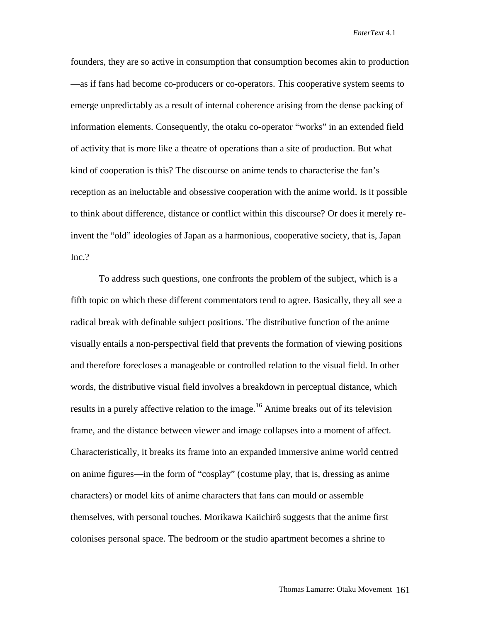founders, they are so active in consumption that consumption becomes akin to production —as if fans had become co-producers or co-operators. This cooperative system seems to emerge unpredictably as a result of internal coherence arising from the dense packing of information elements. Consequently, the otaku co-operator "works" in an extended field of activity that is more like a theatre of operations than a site of production. But what kind of cooperation is this? The discourse on anime tends to characterise the fan's reception as an ineluctable and obsessive cooperation with the anime world. Is it possible to think about difference, distance or conflict within this discourse? Or does it merely reinvent the "old" ideologies of Japan as a harmonious, cooperative society, that is, Japan Inc.?

 To address such questions, one confronts the problem of the subject, which is a fifth topic on which these different commentators tend to agree. Basically, they all see a radical break with definable subject positions. The distributive function of the anime visually entails a non-perspectival field that prevents the formation of viewing positions and therefore forecloses a manageable or controlled relation to the visual field. In other words, the distributive visual field involves a breakdown in perceptual distance, which results in a purely affective relation to the image.<sup>16</sup> Anime breaks out of its television frame, and the distance between viewer and image collapses into a moment of affect. Characteristically, it breaks its frame into an expanded immersive anime world centred on anime figures—in the form of "cosplay" (costume play, that is, dressing as anime characters) or model kits of anime characters that fans can mould or assemble themselves, with personal touches. Morikawa Kaiichirô suggests that the anime first colonises personal space. The bedroom or the studio apartment becomes a shrine to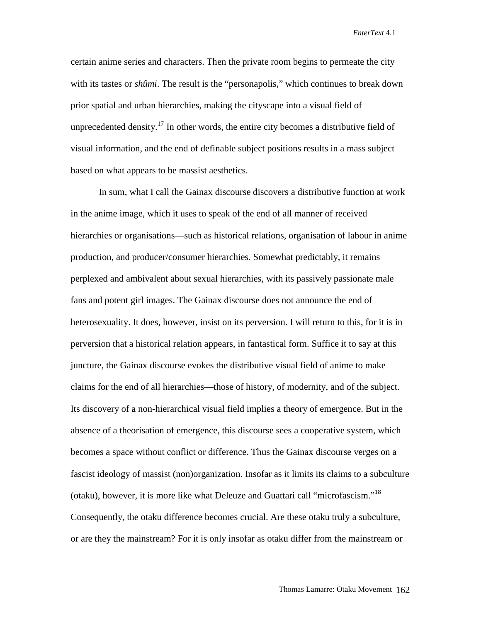certain anime series and characters. Then the private room begins to permeate the city with its tastes or *shûmi*. The result is the "personapolis," which continues to break down prior spatial and urban hierarchies, making the cityscape into a visual field of unprecedented density.<sup>17</sup> In other words, the entire city becomes a distributive field of visual information, and the end of definable subject positions results in a mass subject based on what appears to be massist aesthetics.

In sum, what I call the Gainax discourse discovers a distributive function at work in the anime image, which it uses to speak of the end of all manner of received hierarchies or organisations—such as historical relations, organisation of labour in anime production, and producer/consumer hierarchies. Somewhat predictably, it remains perplexed and ambivalent about sexual hierarchies, with its passively passionate male fans and potent girl images. The Gainax discourse does not announce the end of heterosexuality. It does, however, insist on its perversion. I will return to this, for it is in perversion that a historical relation appears, in fantastical form. Suffice it to say at this juncture, the Gainax discourse evokes the distributive visual field of anime to make claims for the end of all hierarchies—those of history, of modernity, and of the subject. Its discovery of a non-hierarchical visual field implies a theory of emergence. But in the absence of a theorisation of emergence, this discourse sees a cooperative system, which becomes a space without conflict or difference. Thus the Gainax discourse verges on a fascist ideology of massist (non)organization. Insofar as it limits its claims to a subculture (otaku), however, it is more like what Deleuze and Guattari call "microfascism."18 Consequently, the otaku difference becomes crucial. Are these otaku truly a subculture, or are they the mainstream? For it is only insofar as otaku differ from the mainstream or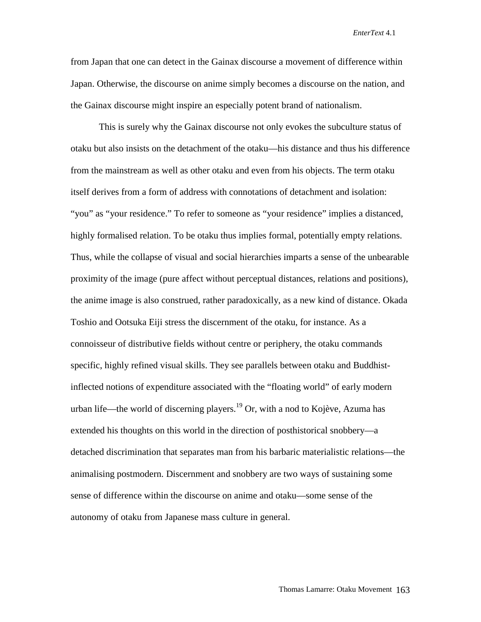from Japan that one can detect in the Gainax discourse a movement of difference within Japan. Otherwise, the discourse on anime simply becomes a discourse on the nation, and the Gainax discourse might inspire an especially potent brand of nationalism.

This is surely why the Gainax discourse not only evokes the subculture status of otaku but also insists on the detachment of the otaku—his distance and thus his difference from the mainstream as well as other otaku and even from his objects. The term otaku itself derives from a form of address with connotations of detachment and isolation: "you" as "your residence." To refer to someone as "your residence" implies a distanced, highly formalised relation. To be otaku thus implies formal, potentially empty relations. Thus, while the collapse of visual and social hierarchies imparts a sense of the unbearable proximity of the image (pure affect without perceptual distances, relations and positions), the anime image is also construed, rather paradoxically, as a new kind of distance. Okada Toshio and Ootsuka Eiji stress the discernment of the otaku, for instance. As a connoisseur of distributive fields without centre or periphery, the otaku commands specific, highly refined visual skills. They see parallels between otaku and Buddhistinflected notions of expenditure associated with the "floating world" of early modern urban life—the world of discerning players.<sup>19</sup> Or, with a nod to Kojève, Azuma has extended his thoughts on this world in the direction of posthistorical snobbery—a detached discrimination that separates man from his barbaric materialistic relations—the animalising postmodern. Discernment and snobbery are two ways of sustaining some sense of difference within the discourse on anime and otaku—some sense of the autonomy of otaku from Japanese mass culture in general.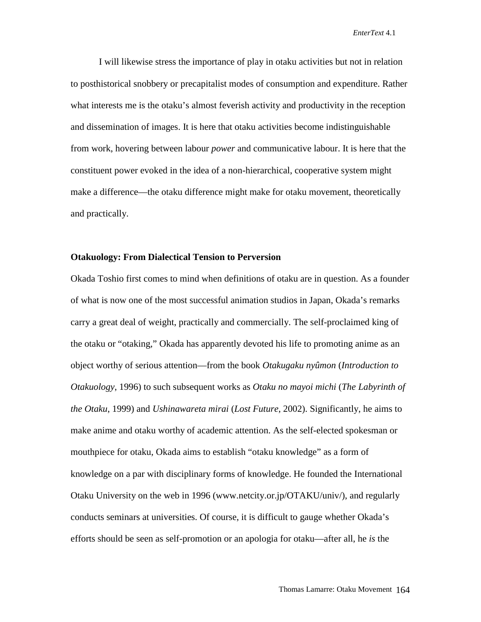I will likewise stress the importance of play in otaku activities but not in relation to posthistorical snobbery or precapitalist modes of consumption and expenditure. Rather what interests me is the otaku's almost feverish activity and productivity in the reception and dissemination of images. It is here that otaku activities become indistinguishable from work, hovering between labour *power* and communicative labour. It is here that the constituent power evoked in the idea of a non-hierarchical, cooperative system might make a difference—the otaku difference might make for otaku movement, theoretically and practically.

### **Otakuology: From Dialectical Tension to Perversion**

Okada Toshio first comes to mind when definitions of otaku are in question. As a founder of what is now one of the most successful animation studios in Japan, Okada's remarks carry a great deal of weight, practically and commercially. The self-proclaimed king of the otaku or "otaking," Okada has apparently devoted his life to promoting anime as an object worthy of serious attention—from the book *Otakugaku nyûmon* (*Introduction to Otakuology*, 1996) to such subsequent works as *Otaku no mayoi michi* (*The Labyrinth of the Otaku*, 1999) and *Ushinawareta mirai* (*Lost Future*, 2002). Significantly, he aims to make anime and otaku worthy of academic attention. As the self-elected spokesman or mouthpiece for otaku, Okada aims to establish "otaku knowledge" as a form of knowledge on a par with disciplinary forms of knowledge. He founded the International Otaku University on the web in 1996 (www.netcity.or.jp/OTAKU/univ/), and regularly conducts seminars at universities. Of course, it is difficult to gauge whether Okada's efforts should be seen as self-promotion or an apologia for otaku—after all, he *is* the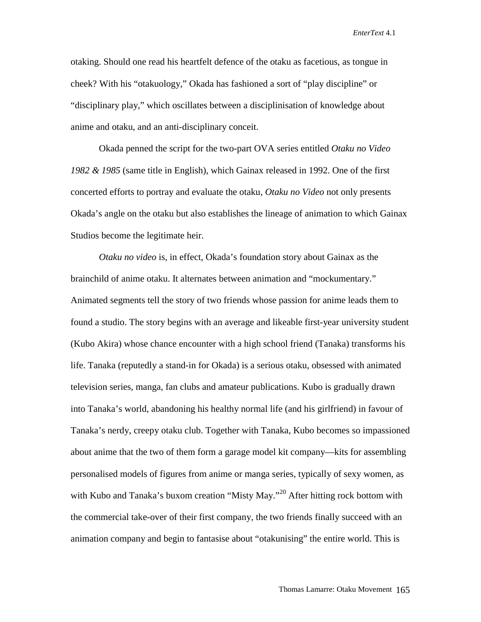otaking. Should one read his heartfelt defence of the otaku as facetious, as tongue in cheek? With his "otakuology," Okada has fashioned a sort of "play discipline" or "disciplinary play," which oscillates between a disciplinisation of knowledge about anime and otaku, and an anti-disciplinary conceit.

 Okada penned the script for the two-part OVA series entitled *Otaku no Video 1982 & 1985* (same title in English), which Gainax released in 1992. One of the first concerted efforts to portray and evaluate the otaku, *Otaku no Video* not only presents Okada's angle on the otaku but also establishes the lineage of animation to which Gainax Studios become the legitimate heir.

*Otaku no video* is, in effect, Okada's foundation story about Gainax as the brainchild of anime otaku. It alternates between animation and "mockumentary." Animated segments tell the story of two friends whose passion for anime leads them to found a studio. The story begins with an average and likeable first-year university student (Kubo Akira) whose chance encounter with a high school friend (Tanaka) transforms his life. Tanaka (reputedly a stand-in for Okada) is a serious otaku, obsessed with animated television series, manga, fan clubs and amateur publications. Kubo is gradually drawn into Tanaka's world, abandoning his healthy normal life (and his girlfriend) in favour of Tanaka's nerdy, creepy otaku club. Together with Tanaka, Kubo becomes so impassioned about anime that the two of them form a garage model kit company—kits for assembling personalised models of figures from anime or manga series, typically of sexy women, as with Kubo and Tanaka's buxom creation "Misty May."<sup>20</sup> After hitting rock bottom with the commercial take-over of their first company, the two friends finally succeed with an animation company and begin to fantasise about "otakunising" the entire world. This is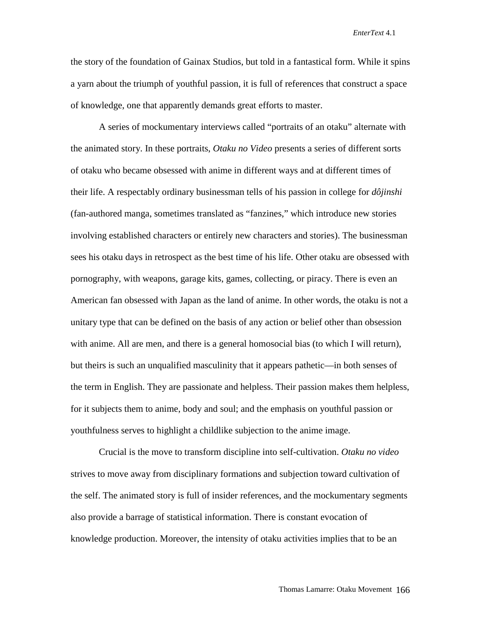the story of the foundation of Gainax Studios, but told in a fantastical form. While it spins a yarn about the triumph of youthful passion, it is full of references that construct a space of knowledge, one that apparently demands great efforts to master.

A series of mockumentary interviews called "portraits of an otaku" alternate with the animated story. In these portraits, *Otaku no Video* presents a series of different sorts of otaku who became obsessed with anime in different ways and at different times of their life. A respectably ordinary businessman tells of his passion in college for *dôjinshi* (fan-authored manga, sometimes translated as "fanzines," which introduce new stories involving established characters or entirely new characters and stories). The businessman sees his otaku days in retrospect as the best time of his life. Other otaku are obsessed with pornography, with weapons, garage kits, games, collecting, or piracy. There is even an American fan obsessed with Japan as the land of anime. In other words, the otaku is not a unitary type that can be defined on the basis of any action or belief other than obsession with anime. All are men, and there is a general homosocial bias (to which I will return), but theirs is such an unqualified masculinity that it appears pathetic—in both senses of the term in English. They are passionate and helpless. Their passion makes them helpless, for it subjects them to anime, body and soul; and the emphasis on youthful passion or youthfulness serves to highlight a childlike subjection to the anime image.

Crucial is the move to transform discipline into self-cultivation. *Otaku no video* strives to move away from disciplinary formations and subjection toward cultivation of the self. The animated story is full of insider references, and the mockumentary segments also provide a barrage of statistical information. There is constant evocation of knowledge production. Moreover, the intensity of otaku activities implies that to be an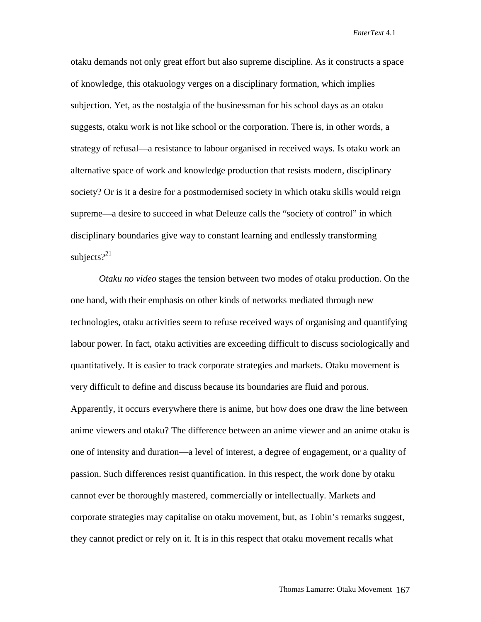otaku demands not only great effort but also supreme discipline. As it constructs a space of knowledge, this otakuology verges on a disciplinary formation, which implies subjection. Yet, as the nostalgia of the businessman for his school days as an otaku suggests, otaku work is not like school or the corporation. There is, in other words, a strategy of refusal—a resistance to labour organised in received ways. Is otaku work an alternative space of work and knowledge production that resists modern, disciplinary society? Or is it a desire for a postmodernised society in which otaku skills would reign supreme—a desire to succeed in what Deleuze calls the "society of control" in which disciplinary boundaries give way to constant learning and endlessly transforming subjects $?^{21}$ 

*Otaku no video* stages the tension between two modes of otaku production. On the one hand, with their emphasis on other kinds of networks mediated through new technologies, otaku activities seem to refuse received ways of organising and quantifying labour power. In fact, otaku activities are exceeding difficult to discuss sociologically and quantitatively. It is easier to track corporate strategies and markets. Otaku movement is very difficult to define and discuss because its boundaries are fluid and porous. Apparently, it occurs everywhere there is anime, but how does one draw the line between anime viewers and otaku? The difference between an anime viewer and an anime otaku is one of intensity and duration—a level of interest, a degree of engagement, or a quality of passion. Such differences resist quantification. In this respect, the work done by otaku cannot ever be thoroughly mastered, commercially or intellectually. Markets and corporate strategies may capitalise on otaku movement, but, as Tobin's remarks suggest, they cannot predict or rely on it. It is in this respect that otaku movement recalls what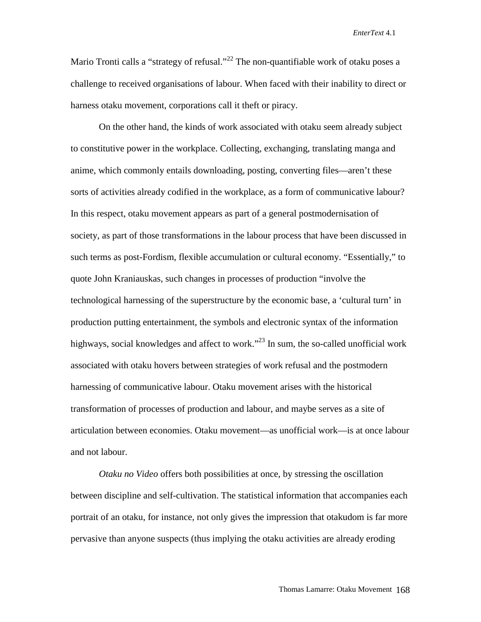Mario Tronti calls a "strategy of refusal."<sup>22</sup> The non-quantifiable work of otaku poses a challenge to received organisations of labour. When faced with their inability to direct or harness otaku movement, corporations call it theft or piracy.

On the other hand, the kinds of work associated with otaku seem already subject to constitutive power in the workplace. Collecting, exchanging, translating manga and anime, which commonly entails downloading, posting, converting files—aren't these sorts of activities already codified in the workplace, as a form of communicative labour? In this respect, otaku movement appears as part of a general postmodernisation of society, as part of those transformations in the labour process that have been discussed in such terms as post-Fordism, flexible accumulation or cultural economy. "Essentially," to quote John Kraniauskas, such changes in processes of production "involve the technological harnessing of the superstructure by the economic base, a 'cultural turn' in production putting entertainment, the symbols and electronic syntax of the information highways, social knowledges and affect to work."<sup>23</sup> In sum, the so-called unofficial work associated with otaku hovers between strategies of work refusal and the postmodern harnessing of communicative labour. Otaku movement arises with the historical transformation of processes of production and labour, and maybe serves as a site of articulation between economies. Otaku movement—as unofficial work—is at once labour and not labour.

*Otaku no Video* offers both possibilities at once, by stressing the oscillation between discipline and self-cultivation. The statistical information that accompanies each portrait of an otaku, for instance, not only gives the impression that otakudom is far more pervasive than anyone suspects (thus implying the otaku activities are already eroding

Thomas Lamarre: Otaku Movement 168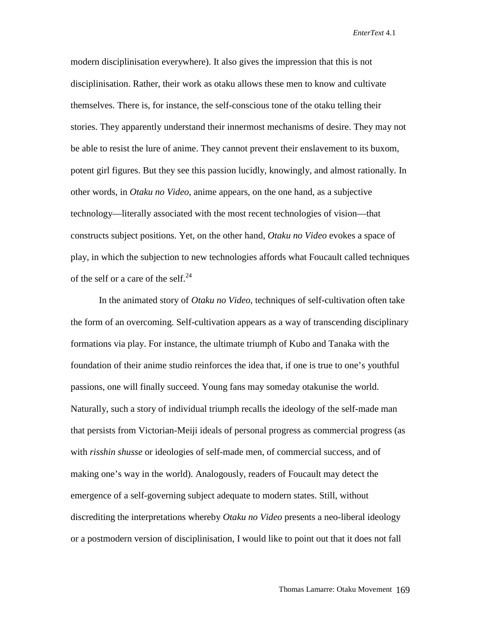modern disciplinisation everywhere). It also gives the impression that this is not disciplinisation. Rather, their work as otaku allows these men to know and cultivate themselves. There is, for instance, the self-conscious tone of the otaku telling their stories. They apparently understand their innermost mechanisms of desire. They may not be able to resist the lure of anime. They cannot prevent their enslavement to its buxom, potent girl figures. But they see this passion lucidly, knowingly, and almost rationally. In other words, in *Otaku no Video*, anime appears, on the one hand, as a subjective technology—literally associated with the most recent technologies of vision—that constructs subject positions. Yet, on the other hand, *Otaku no Video* evokes a space of play, in which the subjection to new technologies affords what Foucault called techniques of the self or a care of the self.<sup>24</sup>

In the animated story of *Otaku no Video*, techniques of self-cultivation often take the form of an overcoming. Self-cultivation appears as a way of transcending disciplinary formations via play. For instance, the ultimate triumph of Kubo and Tanaka with the foundation of their anime studio reinforces the idea that, if one is true to one's youthful passions, one will finally succeed. Young fans may someday otakunise the world. Naturally, such a story of individual triumph recalls the ideology of the self-made man that persists from Victorian-Meiji ideals of personal progress as commercial progress (as with *risshin shusse* or ideologies of self-made men, of commercial success, and of making one's way in the world). Analogously, readers of Foucault may detect the emergence of a self-governing subject adequate to modern states. Still, without discrediting the interpretations whereby *Otaku no Video* presents a neo-liberal ideology or a postmodern version of disciplinisation, I would like to point out that it does not fall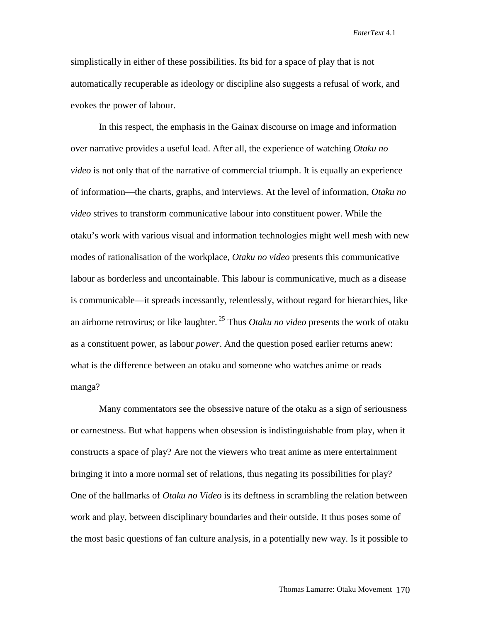simplistically in either of these possibilities. Its bid for a space of play that is not automatically recuperable as ideology or discipline also suggests a refusal of work, and evokes the power of labour.

In this respect, the emphasis in the Gainax discourse on image and information over narrative provides a useful lead. After all, the experience of watching *Otaku no video* is not only that of the narrative of commercial triumph. It is equally an experience of information—the charts, graphs, and interviews. At the level of information, *Otaku no video* strives to transform communicative labour into constituent power. While the otaku's work with various visual and information technologies might well mesh with new modes of rationalisation of the workplace, *Otaku no video* presents this communicative labour as borderless and uncontainable. This labour is communicative, much as a disease is communicable—it spreads incessantly, relentlessly, without regard for hierarchies, like an airborne retrovirus; or like laughter. 25 Thus *Otaku no video* presents the work of otaku as a constituent power, as labour *power*. And the question posed earlier returns anew: what is the difference between an otaku and someone who watches anime or reads manga?

Many commentators see the obsessive nature of the otaku as a sign of seriousness or earnestness. But what happens when obsession is indistinguishable from play, when it constructs a space of play? Are not the viewers who treat anime as mere entertainment bringing it into a more normal set of relations, thus negating its possibilities for play? One of the hallmarks of *Otaku no Video* is its deftness in scrambling the relation between work and play, between disciplinary boundaries and their outside. It thus poses some of the most basic questions of fan culture analysis, in a potentially new way. Is it possible to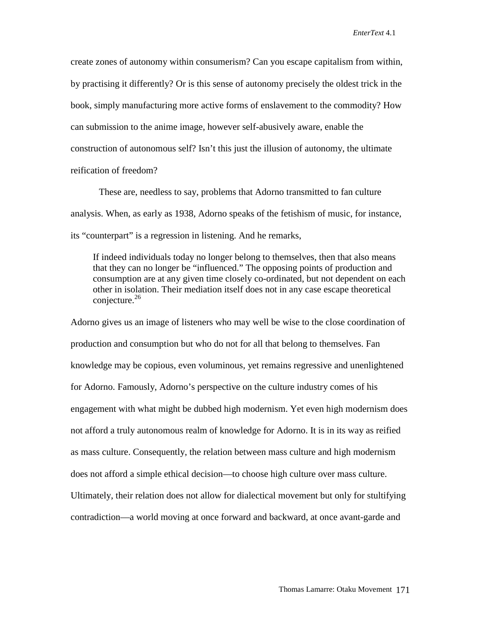create zones of autonomy within consumerism? Can you escape capitalism from within, by practising it differently? Or is this sense of autonomy precisely the oldest trick in the book, simply manufacturing more active forms of enslavement to the commodity? How can submission to the anime image, however self-abusively aware, enable the construction of autonomous self? Isn't this just the illusion of autonomy, the ultimate reification of freedom?

 These are, needless to say, problems that Adorno transmitted to fan culture analysis. When, as early as 1938, Adorno speaks of the fetishism of music, for instance, its "counterpart" is a regression in listening. And he remarks,

If indeed individuals today no longer belong to themselves, then that also means that they can no longer be "influenced." The opposing points of production and consumption are at any given time closely co-ordinated, but not dependent on each other in isolation. Their mediation itself does not in any case escape theoretical conjecture. $26$ 

Adorno gives us an image of listeners who may well be wise to the close coordination of production and consumption but who do not for all that belong to themselves. Fan knowledge may be copious, even voluminous, yet remains regressive and unenlightened for Adorno. Famously, Adorno's perspective on the culture industry comes of his engagement with what might be dubbed high modernism. Yet even high modernism does not afford a truly autonomous realm of knowledge for Adorno. It is in its way as reified as mass culture. Consequently, the relation between mass culture and high modernism does not afford a simple ethical decision—to choose high culture over mass culture. Ultimately, their relation does not allow for dialectical movement but only for stultifying contradiction—a world moving at once forward and backward, at once avant-garde and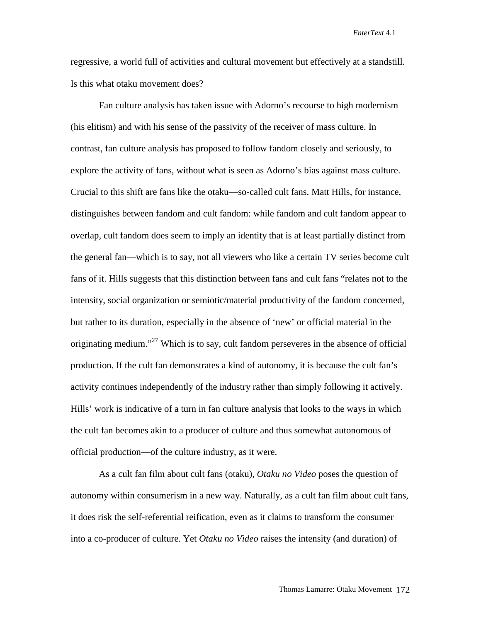regressive, a world full of activities and cultural movement but effectively at a standstill. Is this what otaku movement does?

 Fan culture analysis has taken issue with Adorno's recourse to high modernism (his elitism) and with his sense of the passivity of the receiver of mass culture. In contrast, fan culture analysis has proposed to follow fandom closely and seriously, to explore the activity of fans, without what is seen as Adorno's bias against mass culture. Crucial to this shift are fans like the otaku—so-called cult fans. Matt Hills, for instance, distinguishes between fandom and cult fandom: while fandom and cult fandom appear to overlap, cult fandom does seem to imply an identity that is at least partially distinct from the general fan—which is to say, not all viewers who like a certain TV series become cult fans of it. Hills suggests that this distinction between fans and cult fans "relates not to the intensity, social organization or semiotic/material productivity of the fandom concerned, but rather to its duration, especially in the absence of 'new' or official material in the originating medium."<sup>27</sup> Which is to say, cult fandom perseveres in the absence of official production. If the cult fan demonstrates a kind of autonomy, it is because the cult fan's activity continues independently of the industry rather than simply following it actively. Hills' work is indicative of a turn in fan culture analysis that looks to the ways in which the cult fan becomes akin to a producer of culture and thus somewhat autonomous of official production—of the culture industry, as it were.

 As a cult fan film about cult fans (otaku), *Otaku no Video* poses the question of autonomy within consumerism in a new way. Naturally, as a cult fan film about cult fans, it does risk the self-referential reification, even as it claims to transform the consumer into a co-producer of culture. Yet *Otaku no Video* raises the intensity (and duration) of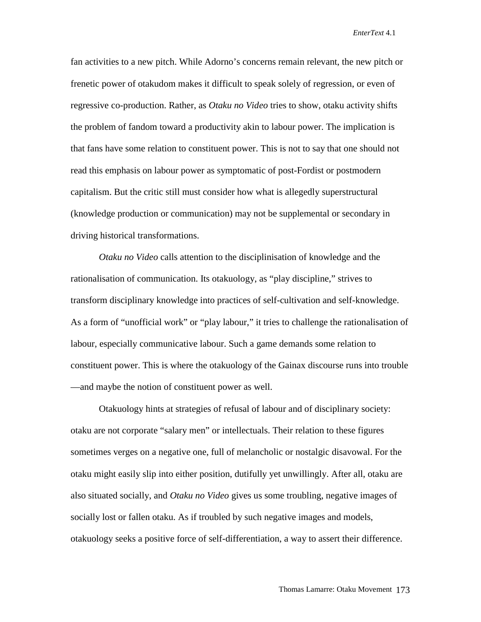fan activities to a new pitch. While Adorno's concerns remain relevant, the new pitch or frenetic power of otakudom makes it difficult to speak solely of regression, or even of regressive co-production. Rather, as *Otaku no Video* tries to show, otaku activity shifts the problem of fandom toward a productivity akin to labour power. The implication is that fans have some relation to constituent power. This is not to say that one should not read this emphasis on labour power as symptomatic of post-Fordist or postmodern capitalism. But the critic still must consider how what is allegedly superstructural (knowledge production or communication) may not be supplemental or secondary in driving historical transformations.

*Otaku no Video* calls attention to the disciplinisation of knowledge and the rationalisation of communication. Its otakuology, as "play discipline," strives to transform disciplinary knowledge into practices of self-cultivation and self-knowledge. As a form of "unofficial work" or "play labour," it tries to challenge the rationalisation of labour, especially communicative labour. Such a game demands some relation to constituent power. This is where the otakuology of the Gainax discourse runs into trouble —and maybe the notion of constituent power as well.

Otakuology hints at strategies of refusal of labour and of disciplinary society: otaku are not corporate "salary men" or intellectuals. Their relation to these figures sometimes verges on a negative one, full of melancholic or nostalgic disavowal. For the otaku might easily slip into either position, dutifully yet unwillingly. After all, otaku are also situated socially, and *Otaku no Video* gives us some troubling, negative images of socially lost or fallen otaku. As if troubled by such negative images and models, otakuology seeks a positive force of self-differentiation, a way to assert their difference.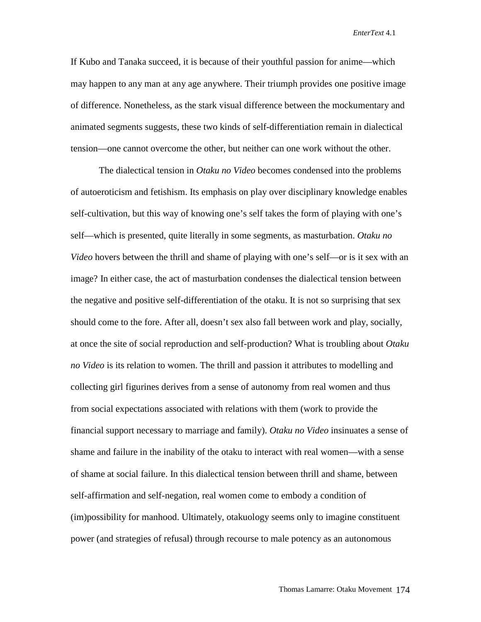If Kubo and Tanaka succeed, it is because of their youthful passion for anime—which may happen to any man at any age anywhere. Their triumph provides one positive image of difference. Nonetheless, as the stark visual difference between the mockumentary and animated segments suggests, these two kinds of self-differentiation remain in dialectical tension—one cannot overcome the other, but neither can one work without the other.

 The dialectical tension in *Otaku no Video* becomes condensed into the problems of autoeroticism and fetishism. Its emphasis on play over disciplinary knowledge enables self-cultivation, but this way of knowing one's self takes the form of playing with one's self—which is presented, quite literally in some segments, as masturbation. *Otaku no Video* hovers between the thrill and shame of playing with one's self—or is it sex with an image? In either case, the act of masturbation condenses the dialectical tension between the negative and positive self-differentiation of the otaku. It is not so surprising that sex should come to the fore. After all, doesn't sex also fall between work and play, socially, at once the site of social reproduction and self-production? What is troubling about *Otaku no Video* is its relation to women. The thrill and passion it attributes to modelling and collecting girl figurines derives from a sense of autonomy from real women and thus from social expectations associated with relations with them (work to provide the financial support necessary to marriage and family). *Otaku no Video* insinuates a sense of shame and failure in the inability of the otaku to interact with real women—with a sense of shame at social failure. In this dialectical tension between thrill and shame, between self-affirmation and self-negation, real women come to embody a condition of (im)possibility for manhood. Ultimately, otakuology seems only to imagine constituent power (and strategies of refusal) through recourse to male potency as an autonomous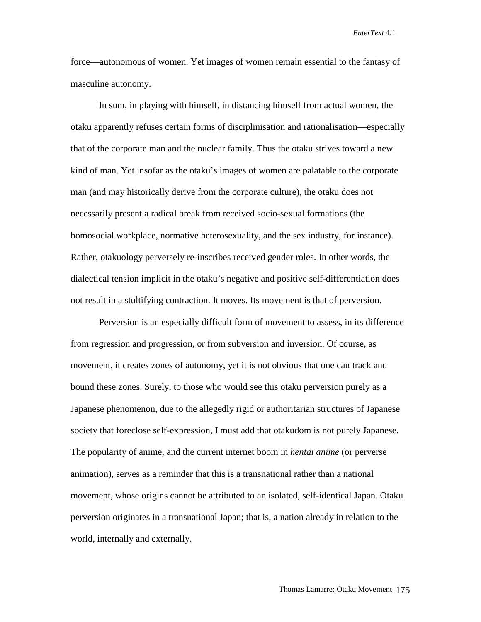force—autonomous of women. Yet images of women remain essential to the fantasy of masculine autonomy.

In sum, in playing with himself, in distancing himself from actual women, the otaku apparently refuses certain forms of disciplinisation and rationalisation—especially that of the corporate man and the nuclear family. Thus the otaku strives toward a new kind of man. Yet insofar as the otaku's images of women are palatable to the corporate man (and may historically derive from the corporate culture), the otaku does not necessarily present a radical break from received socio-sexual formations (the homosocial workplace, normative heterosexuality, and the sex industry, for instance). Rather, otakuology perversely re-inscribes received gender roles. In other words, the dialectical tension implicit in the otaku's negative and positive self-differentiation does not result in a stultifying contraction. It moves. Its movement is that of perversion.

Perversion is an especially difficult form of movement to assess, in its difference from regression and progression, or from subversion and inversion. Of course, as movement, it creates zones of autonomy, yet it is not obvious that one can track and bound these zones. Surely, to those who would see this otaku perversion purely as a Japanese phenomenon, due to the allegedly rigid or authoritarian structures of Japanese society that foreclose self-expression, I must add that otakudom is not purely Japanese. The popularity of anime, and the current internet boom in *hentai anime* (or perverse animation), serves as a reminder that this is a transnational rather than a national movement, whose origins cannot be attributed to an isolated, self-identical Japan. Otaku perversion originates in a transnational Japan; that is, a nation already in relation to the world, internally and externally.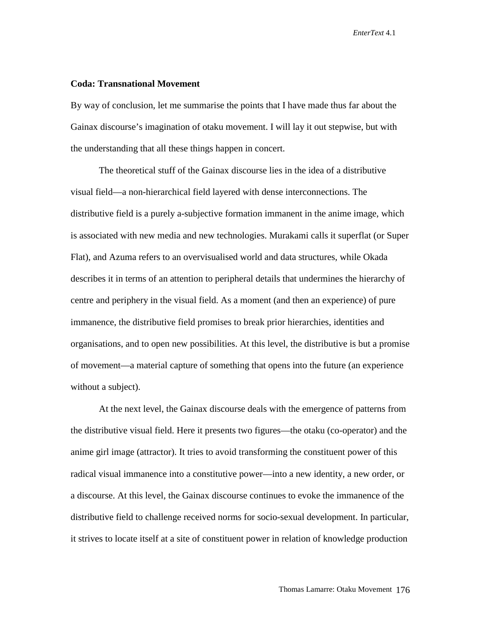#### **Coda: Transnational Movement**

By way of conclusion, let me summarise the points that I have made thus far about the Gainax discourse's imagination of otaku movement. I will lay it out stepwise, but with the understanding that all these things happen in concert.

The theoretical stuff of the Gainax discourse lies in the idea of a distributive visual field—a non-hierarchical field layered with dense interconnections. The distributive field is a purely a-subjective formation immanent in the anime image, which is associated with new media and new technologies. Murakami calls it superflat (or Super Flat), and Azuma refers to an overvisualised world and data structures, while Okada describes it in terms of an attention to peripheral details that undermines the hierarchy of centre and periphery in the visual field. As a moment (and then an experience) of pure immanence, the distributive field promises to break prior hierarchies, identities and organisations, and to open new possibilities. At this level, the distributive is but a promise of movement—a material capture of something that opens into the future (an experience without a subject).

 At the next level, the Gainax discourse deals with the emergence of patterns from the distributive visual field. Here it presents two figures—the otaku (co-operator) and the anime girl image (attractor). It tries to avoid transforming the constituent power of this radical visual immanence into a constitutive power—into a new identity, a new order, or a discourse. At this level, the Gainax discourse continues to evoke the immanence of the distributive field to challenge received norms for socio-sexual development. In particular, it strives to locate itself at a site of constituent power in relation of knowledge production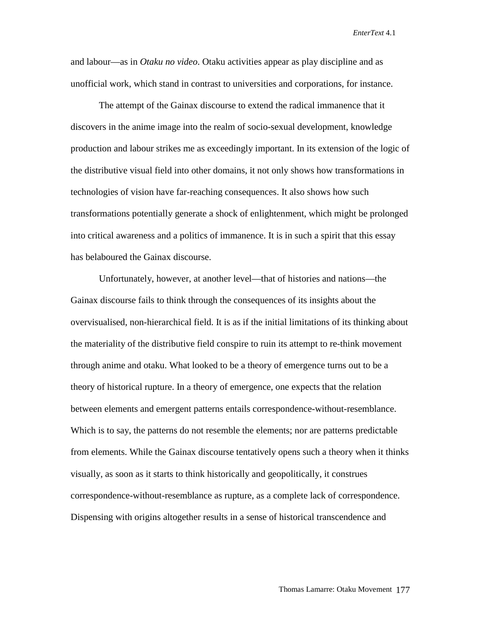and labour—as in *Otaku no video*. Otaku activities appear as play discipline and as unofficial work, which stand in contrast to universities and corporations, for instance.

The attempt of the Gainax discourse to extend the radical immanence that it discovers in the anime image into the realm of socio-sexual development, knowledge production and labour strikes me as exceedingly important. In its extension of the logic of the distributive visual field into other domains, it not only shows how transformations in technologies of vision have far-reaching consequences. It also shows how such transformations potentially generate a shock of enlightenment, which might be prolonged into critical awareness and a politics of immanence. It is in such a spirit that this essay has belaboured the Gainax discourse.

Unfortunately, however, at another level—that of histories and nations—the Gainax discourse fails to think through the consequences of its insights about the overvisualised, non-hierarchical field. It is as if the initial limitations of its thinking about the materiality of the distributive field conspire to ruin its attempt to re-think movement through anime and otaku. What looked to be a theory of emergence turns out to be a theory of historical rupture. In a theory of emergence, one expects that the relation between elements and emergent patterns entails correspondence-without-resemblance. Which is to say, the patterns do not resemble the elements; nor are patterns predictable from elements. While the Gainax discourse tentatively opens such a theory when it thinks visually, as soon as it starts to think historically and geopolitically, it construes correspondence-without-resemblance as rupture, as a complete lack of correspondence. Dispensing with origins altogether results in a sense of historical transcendence and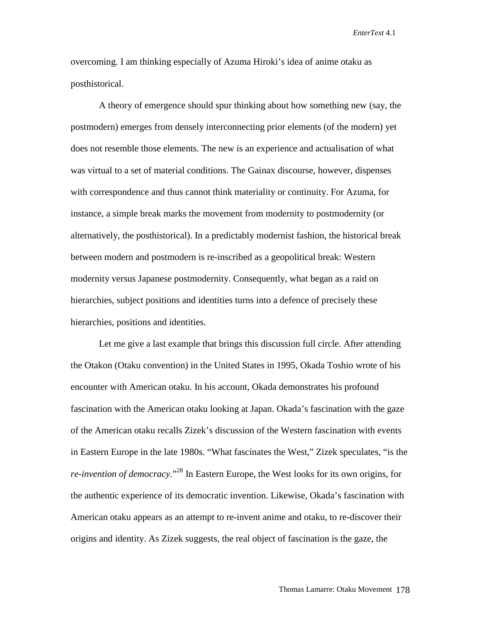overcoming. I am thinking especially of Azuma Hiroki's idea of anime otaku as posthistorical.

A theory of emergence should spur thinking about how something new (say, the postmodern) emerges from densely interconnecting prior elements (of the modern) yet does not resemble those elements. The new is an experience and actualisation of what was virtual to a set of material conditions. The Gainax discourse, however, dispenses with correspondence and thus cannot think materiality or continuity. For Azuma, for instance, a simple break marks the movement from modernity to postmodernity (or alternatively, the posthistorical). In a predictably modernist fashion, the historical break between modern and postmodern is re-inscribed as a geopolitical break: Western modernity versus Japanese postmodernity. Consequently, what began as a raid on hierarchies, subject positions and identities turns into a defence of precisely these hierarchies, positions and identities.

 Let me give a last example that brings this discussion full circle. After attending the Otakon (Otaku convention) in the United States in 1995, Okada Toshio wrote of his encounter with American otaku. In his account, Okada demonstrates his profound fascination with the American otaku looking at Japan. Okada's fascination with the gaze of the American otaku recalls Zizek's discussion of the Western fascination with events in Eastern Europe in the late 1980s. "What fascinates the West," Zizek speculates, "is the *re-invention of democracy.*" 28 In Eastern Europe, the West looks for its own origins, for the authentic experience of its democratic invention. Likewise, Okada's fascination with American otaku appears as an attempt to re-invent anime and otaku, to re-discover their origins and identity. As Zizek suggests, the real object of fascination is the gaze, the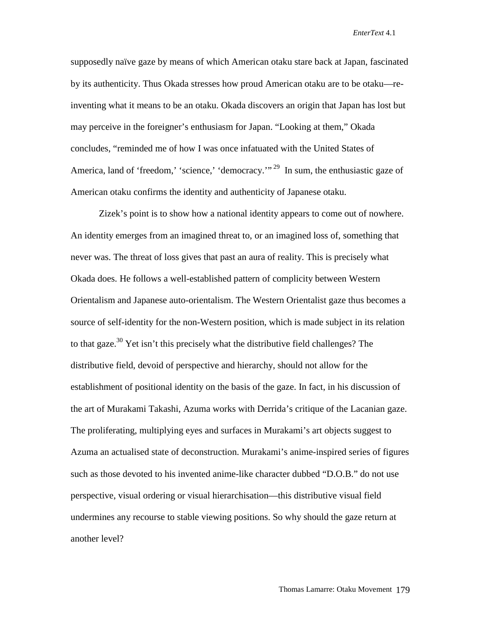supposedly naïve gaze by means of which American otaku stare back at Japan, fascinated by its authenticity. Thus Okada stresses how proud American otaku are to be otaku—reinventing what it means to be an otaku. Okada discovers an origin that Japan has lost but may perceive in the foreigner's enthusiasm for Japan. "Looking at them," Okada concludes, "reminded me of how I was once infatuated with the United States of America, land of 'freedom,' 'science,' 'democracy.'"<sup>29</sup> In sum, the enthusiastic gaze of American otaku confirms the identity and authenticity of Japanese otaku.

Zizek's point is to show how a national identity appears to come out of nowhere. An identity emerges from an imagined threat to, or an imagined loss of, something that never was. The threat of loss gives that past an aura of reality. This is precisely what Okada does. He follows a well-established pattern of complicity between Western Orientalism and Japanese auto-orientalism. The Western Orientalist gaze thus becomes a source of self-identity for the non-Western position, which is made subject in its relation to that gaze.<sup>30</sup> Yet isn't this precisely what the distributive field challenges? The distributive field, devoid of perspective and hierarchy, should not allow for the establishment of positional identity on the basis of the gaze. In fact, in his discussion of the art of Murakami Takashi, Azuma works with Derrida's critique of the Lacanian gaze. The proliferating, multiplying eyes and surfaces in Murakami's art objects suggest to Azuma an actualised state of deconstruction. Murakami's anime-inspired series of figures such as those devoted to his invented anime-like character dubbed "D.O.B." do not use perspective, visual ordering or visual hierarchisation—this distributive visual field undermines any recourse to stable viewing positions. So why should the gaze return at another level?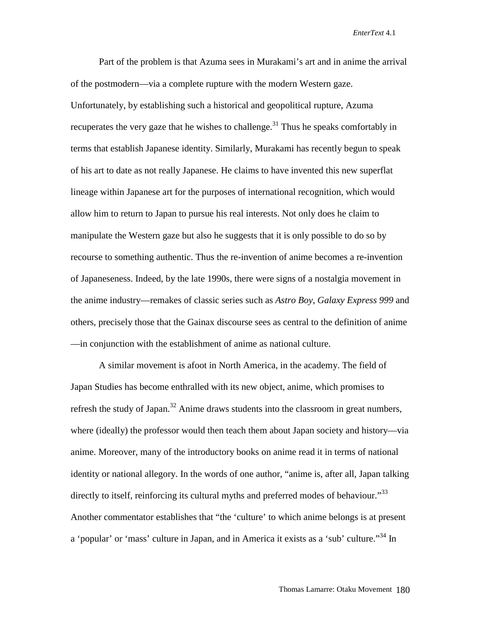Part of the problem is that Azuma sees in Murakami's art and in anime the arrival of the postmodern—via a complete rupture with the modern Western gaze. Unfortunately, by establishing such a historical and geopolitical rupture, Azuma recuperates the very gaze that he wishes to challenge.<sup>31</sup> Thus he speaks comfortably in terms that establish Japanese identity. Similarly, Murakami has recently begun to speak of his art to date as not really Japanese. He claims to have invented this new superflat lineage within Japanese art for the purposes of international recognition, which would allow him to return to Japan to pursue his real interests. Not only does he claim to manipulate the Western gaze but also he suggests that it is only possible to do so by recourse to something authentic. Thus the re-invention of anime becomes a re-invention of Japaneseness. Indeed, by the late 1990s, there were signs of a nostalgia movement in the anime industry—remakes of classic series such as *Astro Boy*, *Galaxy Express 999* and others, precisely those that the Gainax discourse sees as central to the definition of anime —in conjunction with the establishment of anime as national culture.

A similar movement is afoot in North America, in the academy. The field of Japan Studies has become enthralled with its new object, anime, which promises to refresh the study of Japan.<sup>32</sup> Anime draws students into the classroom in great numbers, where (ideally) the professor would then teach them about Japan society and history—via anime. Moreover, many of the introductory books on anime read it in terms of national identity or national allegory. In the words of one author, "anime is, after all, Japan talking directly to itself, reinforcing its cultural myths and preferred modes of behaviour."<sup>33</sup> Another commentator establishes that "the 'culture' to which anime belongs is at present a 'popular' or 'mass' culture in Japan, and in America it exists as a 'sub' culture."<sup>34</sup> In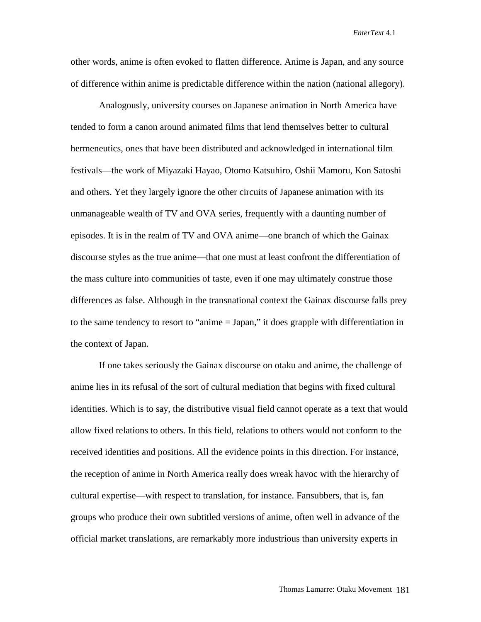other words, anime is often evoked to flatten difference. Anime is Japan, and any source of difference within anime is predictable difference within the nation (national allegory).

Analogously, university courses on Japanese animation in North America have tended to form a canon around animated films that lend themselves better to cultural hermeneutics, ones that have been distributed and acknowledged in international film festivals—the work of Miyazaki Hayao, Otomo Katsuhiro, Oshii Mamoru, Kon Satoshi and others. Yet they largely ignore the other circuits of Japanese animation with its unmanageable wealth of TV and OVA series, frequently with a daunting number of episodes. It is in the realm of TV and OVA anime—one branch of which the Gainax discourse styles as the true anime—that one must at least confront the differentiation of the mass culture into communities of taste, even if one may ultimately construe those differences as false. Although in the transnational context the Gainax discourse falls prey to the same tendency to resort to "anime = Japan," it does grapple with differentiation in the context of Japan.

If one takes seriously the Gainax discourse on otaku and anime, the challenge of anime lies in its refusal of the sort of cultural mediation that begins with fixed cultural identities. Which is to say, the distributive visual field cannot operate as a text that would allow fixed relations to others. In this field, relations to others would not conform to the received identities and positions. All the evidence points in this direction. For instance, the reception of anime in North America really does wreak havoc with the hierarchy of cultural expertise—with respect to translation, for instance. Fansubbers, that is, fan groups who produce their own subtitled versions of anime, often well in advance of the official market translations, are remarkably more industrious than university experts in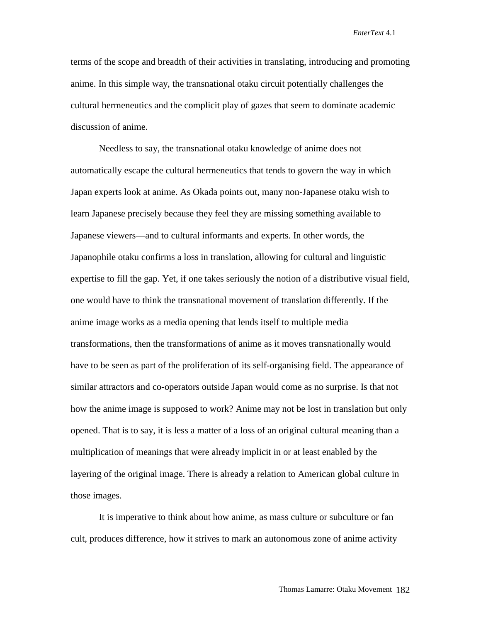terms of the scope and breadth of their activities in translating, introducing and promoting anime. In this simple way, the transnational otaku circuit potentially challenges the cultural hermeneutics and the complicit play of gazes that seem to dominate academic discussion of anime.

Needless to say, the transnational otaku knowledge of anime does not automatically escape the cultural hermeneutics that tends to govern the way in which Japan experts look at anime. As Okada points out, many non-Japanese otaku wish to learn Japanese precisely because they feel they are missing something available to Japanese viewers—and to cultural informants and experts. In other words, the Japanophile otaku confirms a loss in translation, allowing for cultural and linguistic expertise to fill the gap. Yet, if one takes seriously the notion of a distributive visual field, one would have to think the transnational movement of translation differently. If the anime image works as a media opening that lends itself to multiple media transformations, then the transformations of anime as it moves transnationally would have to be seen as part of the proliferation of its self-organising field. The appearance of similar attractors and co-operators outside Japan would come as no surprise. Is that not how the anime image is supposed to work? Anime may not be lost in translation but only opened. That is to say, it is less a matter of a loss of an original cultural meaning than a multiplication of meanings that were already implicit in or at least enabled by the layering of the original image. There is already a relation to American global culture in those images.

It is imperative to think about how anime, as mass culture or subculture or fan cult, produces difference, how it strives to mark an autonomous zone of anime activity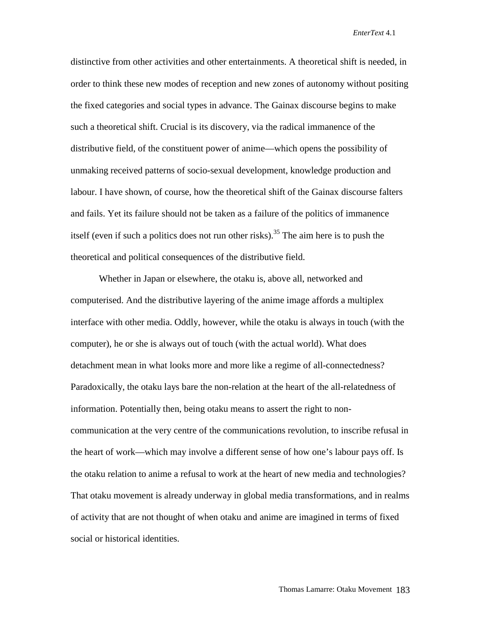distinctive from other activities and other entertainments. A theoretical shift is needed, in order to think these new modes of reception and new zones of autonomy without positing the fixed categories and social types in advance. The Gainax discourse begins to make such a theoretical shift. Crucial is its discovery, via the radical immanence of the distributive field, of the constituent power of anime—which opens the possibility of unmaking received patterns of socio-sexual development, knowledge production and labour. I have shown, of course, how the theoretical shift of the Gainax discourse falters and fails. Yet its failure should not be taken as a failure of the politics of immanence itself (even if such a politics does not run other risks).<sup>35</sup> The aim here is to push the theoretical and political consequences of the distributive field.

Whether in Japan or elsewhere, the otaku is, above all, networked and computerised. And the distributive layering of the anime image affords a multiplex interface with other media. Oddly, however, while the otaku is always in touch (with the computer), he or she is always out of touch (with the actual world). What does detachment mean in what looks more and more like a regime of all-connectedness? Paradoxically, the otaku lays bare the non-relation at the heart of the all-relatedness of information. Potentially then, being otaku means to assert the right to noncommunication at the very centre of the communications revolution, to inscribe refusal in the heart of work—which may involve a different sense of how one's labour pays off. Is the otaku relation to anime a refusal to work at the heart of new media and technologies? That otaku movement is already underway in global media transformations, and in realms of activity that are not thought of when otaku and anime are imagined in terms of fixed social or historical identities.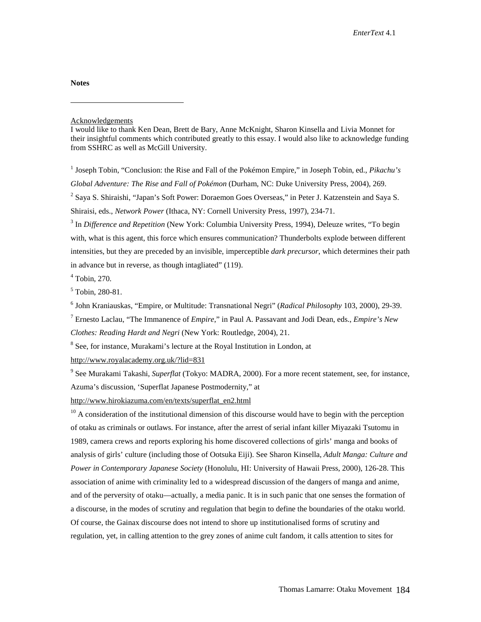**Notes**

 $\overline{a}$ 

#### Acknowledgements

<sup>1</sup> Joseph Tobin, "Conclusion: the Rise and Fall of the Pokémon Empire," in Joseph Tobin, ed., *Pikachu's Global Adventure: The Rise and Fall of Pokémon* (Durham, NC: Duke University Press, 2004), 269.

<sup>2</sup> Saya S. Shiraishi, "Japan's Soft Power: Doraemon Goes Overseas," in Peter J. Katzenstein and Saya S. Shiraisi, eds., *Network Power* (Ithaca, NY: Cornell University Press, 1997), 234-71.

<sup>3</sup> In *Difference and Repetition* (New York: Columbia University Press, 1994), Deleuze writes, "To begin with, what is this agent, this force which ensures communication? Thunderbolts explode between different intensities, but they are preceded by an invisible, imperceptible *dark precursor*, which determines their path in advance but in reverse, as though intagliated" (119).

4 Tobin, 270.

5 Tobin, 280-81.

6 John Kraniauskas, "Empire, or Multitude: Transnational Negri" (*Radical Philosophy* 103, 2000), 29-39.

7 Ernesto Laclau, "The Immanence of *Empire*," in Paul A. Passavant and Jodi Dean, eds., *Empire's New Clothes: Reading Hardt and Negri* (New York: Routledge, 2004), 21.

<sup>8</sup> See, for instance, Murakami's lecture at the Royal Institution in London, at

http://www.royalacademy.org.uk/?lid=831

9 See Murakami Takashi, *Superflat* (Tokyo: MADRA, 2000). For a more recent statement, see, for instance, Azuma's discussion, 'Superflat Japanese Postmodernity," at

http://www.hirokiazuma.com/en/texts/superflat\_en2.html

 $10$  A consideration of the institutional dimension of this discourse would have to begin with the perception of otaku as criminals or outlaws. For instance, after the arrest of serial infant killer Miyazaki Tsutomu in 1989, camera crews and reports exploring his home discovered collections of girls' manga and books of analysis of girls' culture (including those of Ootsuka Eiji). See Sharon Kinsella, *Adult Manga: Culture and Power in Contemporary Japanese Society* (Honolulu, HI: University of Hawaii Press, 2000), 126-28. This association of anime with criminality led to a widespread discussion of the dangers of manga and anime, and of the perversity of otaku—actually, a media panic. It is in such panic that one senses the formation of a discourse, in the modes of scrutiny and regulation that begin to define the boundaries of the otaku world. Of course, the Gainax discourse does not intend to shore up institutionalised forms of scrutiny and regulation, yet, in calling attention to the grey zones of anime cult fandom, it calls attention to sites for

I would like to thank Ken Dean, Brett de Bary, Anne McKnight, Sharon Kinsella and Livia Monnet for their insightful comments which contributed greatly to this essay. I would also like to acknowledge funding from SSHRC as well as McGill University.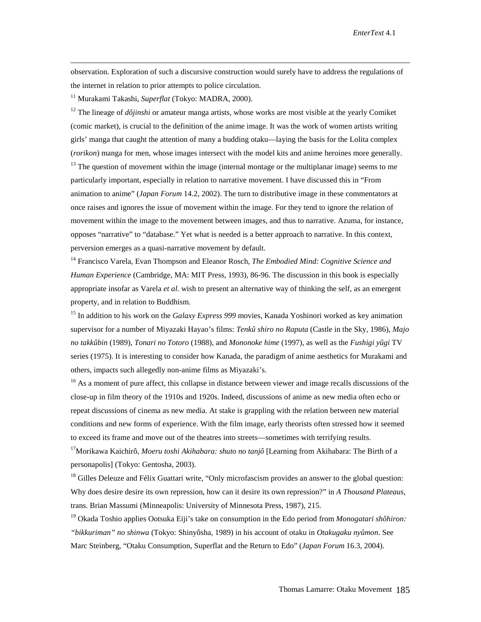observation. Exploration of such a discursive construction would surely have to address the regulations of the internet in relation to prior attempts to police circulation.

11 Murakami Takashi, *Superflat* (Tokyo: MADRA, 2000).

<sup>12</sup> The lineage of  $d\delta$ *iinshi* or amateur manga artists, whose works are most visible at the yearly Comiket (comic market), is crucial to the definition of the anime image. It was the work of women artists writing girls' manga that caught the attention of many a budding otaku—laying the basis for the Lolita complex (*rorikon*) manga for men, whose images intersect with the model kits and anime heroines more generally.  $13$  The question of movement within the image (internal montage or the multiplanar image) seems to me particularly important, especially in relation to narrative movement. I have discussed this in "From animation to anime" (*Japan Forum* 14.2, 2002). The turn to distributive image in these commentators at once raises and ignores the issue of movement within the image. For they tend to ignore the relation of movement within the image to the movement between images, and thus to narrative. Azuma, for instance, opposes "narrative" to "database." Yet what is needed is a better approach to narrative. In this context, perversion emerges as a quasi-narrative movement by default.

14 Francisco Varela, Evan Thompson and Eleanor Rosch, *The Embodied Mind: Cognitive Science and Human Experience* (Cambridge, MA: MIT Press, 1993), 86-96. The discussion in this book is especially appropriate insofar as Varela *et al*. wish to present an alternative way of thinking the self, as an emergent property, and in relation to Buddhism.

15 In addition to his work on the *Galaxy Express 999* movies, Kanada Yoshinori worked as key animation supervisor for a number of Miyazaki Hayao's films: *Tenkû shiro no Raputa* (Castle in the Sky, 1986), *Majo no takkûbin* (1989), *Tonari no Totoro* (1988), and *Mononoke hime* (1997), as well as the *Fushigi yûgi* TV series (1975). It is interesting to consider how Kanada, the paradigm of anime aesthetics for Murakami and others, impacts such allegedly non-anime films as Miyazaki's.

<sup>16</sup> As a moment of pure affect, this collapse in distance between viewer and image recalls discussions of the close-up in film theory of the 1910s and 1920s. Indeed, discussions of anime as new media often echo or repeat discussions of cinema as new media. At stake is grappling with the relation between new material conditions and new forms of experience. With the film image, early theorists often stressed how it seemed to exceed its frame and move out of the theatres into streets—sometimes with terrifying results.

17Morikawa Kaichirô, *Moeru toshi Akihabara: shuto no tanjô* [Learning from Akihabara: The Birth of a personapolis] (Tokyo: Gentosha, 2003).

 $18$  Gilles Deleuze and Félix Guattari write, "Only microfascism provides an answer to the global question: Why does desire desire its own repression, how can it desire its own repression?" in *A Thousand Plateaus*, trans. Brian Massumi (Minneapolis: University of Minnesota Press, 1987), 215.

19 Okada Toshio applies Ootsuka Eiji's take on consumption in the Edo period from *Monogatari shôhiron: "bikkuriman" no shinwa* (Tokyo: Shinyôsha, 1989) in his account of otaku in *Otakugaku nyûmon*. See Marc Steinberg, "Otaku Consumption, Superflat and the Return to Edo" (*Japan Forum* 16.3, 2004).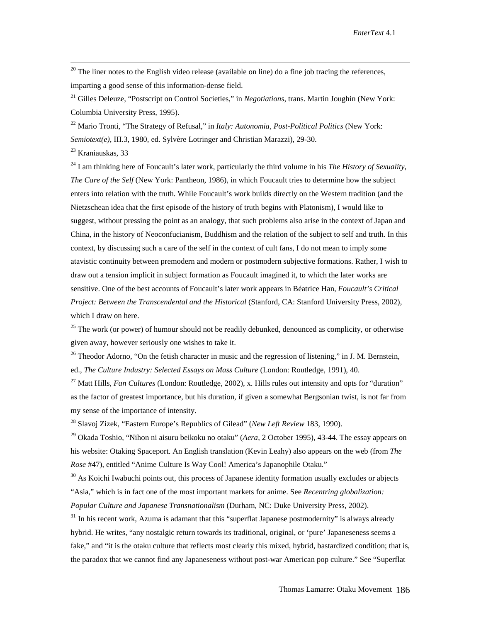$20$  The liner notes to the English video release (available on line) do a fine job tracing the references, imparting a good sense of this information-dense field.

<sup>21</sup> Gilles Deleuze, "Postscript on Control Societies," in *Negotiations*, trans. Martin Joughin (New York: Columbia University Press, 1995).

22 Mario Tronti, "The Strategy of Refusal," in *Italy: Autonomia, Post-Political Politics* (New York: *Semiotext(e),* III.3, 1980, ed. Sylvère Lotringer and Christian Marazzi), 29-30.

23 Kraniauskas, 33

24 I am thinking here of Foucault's later work, particularly the third volume in his *The History of Sexuality*, *The Care of the Self* (New York: Pantheon, 1986), in which Foucault tries to determine how the subject enters into relation with the truth. While Foucault's work builds directly on the Western tradition (and the Nietzschean idea that the first episode of the history of truth begins with Platonism), I would like to suggest, without pressing the point as an analogy, that such problems also arise in the context of Japan and China, in the history of Neoconfucianism, Buddhism and the relation of the subject to self and truth. In this context, by discussing such a care of the self in the context of cult fans, I do not mean to imply some atavistic continuity between premodern and modern or postmodern subjective formations. Rather, I wish to draw out a tension implicit in subject formation as Foucault imagined it, to which the later works are sensitive. One of the best accounts of Foucault's later work appears in Béatrice Han, *Foucault's Critical Project: Between the Transcendental and the Historical* (Stanford, CA: Stanford University Press, 2002), which I draw on here.

<sup>25</sup> The work (or power) of humour should not be readily debunked, denounced as complicity, or otherwise given away, however seriously one wishes to take it.

 $26$  Theodor Adorno, "On the fetish character in music and the regression of listening," in J. M. Bernstein, ed., *The Culture Industry: Selected Essays on Mass Culture* (London: Routledge, 1991), 40.

27 Matt Hills, *Fan Cultures* (London: Routledge, 2002), x. Hills rules out intensity and opts for "duration" as the factor of greatest importance, but his duration, if given a somewhat Bergsonian twist, is not far from my sense of the importance of intensity.

28 Slavoj Zizek, "Eastern Europe's Republics of Gilead" (*New Left Review* 183, 1990).

29 Okada Toshio, "Nihon ni aisuru beikoku no otaku" (*Aera*, 2 October 1995), 43-44. The essay appears on his website: Otaking Spaceport. An English translation (Kevin Leahy) also appears on the web (from *The Rose* #47), entitled "Anime Culture Is Way Cool! America's Japanophile Otaku."

 $30$  As Koichi Iwabuchi points out, this process of Japanese identity formation usually excludes or abjects

"Asia," which is in fact one of the most important markets for anime. See *Recentring globalization:* 

*Popular Culture and Japanese Transnationalism* (Durham, NC: Duke University Press, 2002).

 $31$  In his recent work, Azuma is adamant that this "superflat Japanese postmodernity" is always already hybrid. He writes, "any nostalgic return towards its traditional, original, or 'pure' Japaneseness seems a fake," and "it is the otaku culture that reflects most clearly this mixed, hybrid, bastardized condition; that is, the paradox that we cannot find any Japaneseness without post-war American pop culture." See "Superflat